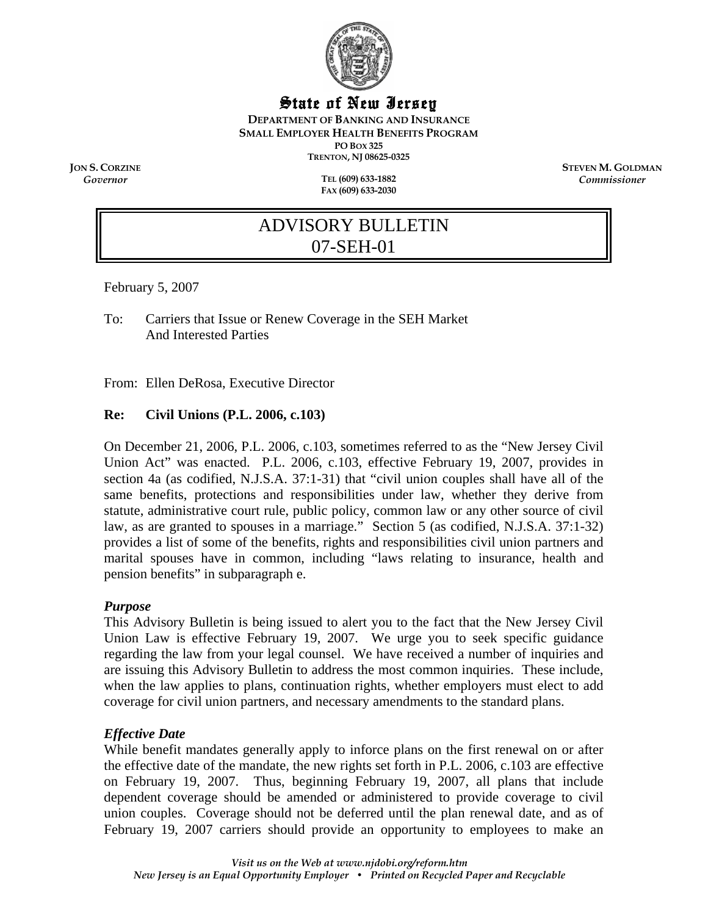

## State of New Jersey

**DEPARTMENT OF BANKING AND INSURANCE SMALL EMPLOYER HEALTH BENEFITS PROGRAM PO BOX 325 TRENTON, NJ 08625-0325** 

*Governor* **TEL (609) 633-1882 FAX (609) 633-2030** 

**JON S. CORZINE STEVEN M. GOLDMAN** *Commissioner* 

# ADVISORY BULLETIN 07-SEH-01

February 5, 2007

To: Carriers that Issue or Renew Coverage in the SEH Market And Interested Parties

From: Ellen DeRosa, Executive Director

## **Re: Civil Unions (P.L. 2006, c.103)**

On December 21, 2006, P.L. 2006, c.103, sometimes referred to as the "New Jersey Civil Union Act" was enacted. P.L. 2006, c.103, effective February 19, 2007, provides in section 4a (as codified, N.J.S.A. 37:1-31) that "civil union couples shall have all of the same benefits, protections and responsibilities under law, whether they derive from statute, administrative court rule, public policy, common law or any other source of civil law, as are granted to spouses in a marriage." Section 5 (as codified, N.J.S.A. 37:1-32) provides a list of some of the benefits, rights and responsibilities civil union partners and marital spouses have in common, including "laws relating to insurance, health and pension benefits" in subparagraph e.

#### *Purpose*

This Advisory Bulletin is being issued to alert you to the fact that the New Jersey Civil Union Law is effective February 19, 2007. We urge you to seek specific guidance regarding the law from your legal counsel. We have received a number of inquiries and are issuing this Advisory Bulletin to address the most common inquiries. These include, when the law applies to plans, continuation rights, whether employers must elect to add coverage for civil union partners, and necessary amendments to the standard plans.

#### *Effective Date*

While benefit mandates generally apply to inforce plans on the first renewal on or after the effective date of the mandate, the new rights set forth in P.L. 2006, c.103 are effective on February 19, 2007. Thus, beginning February 19, 2007, all plans that include dependent coverage should be amended or administered to provide coverage to civil union couples. Coverage should not be deferred until the plan renewal date, and as of February 19, 2007 carriers should provide an opportunity to employees to make an